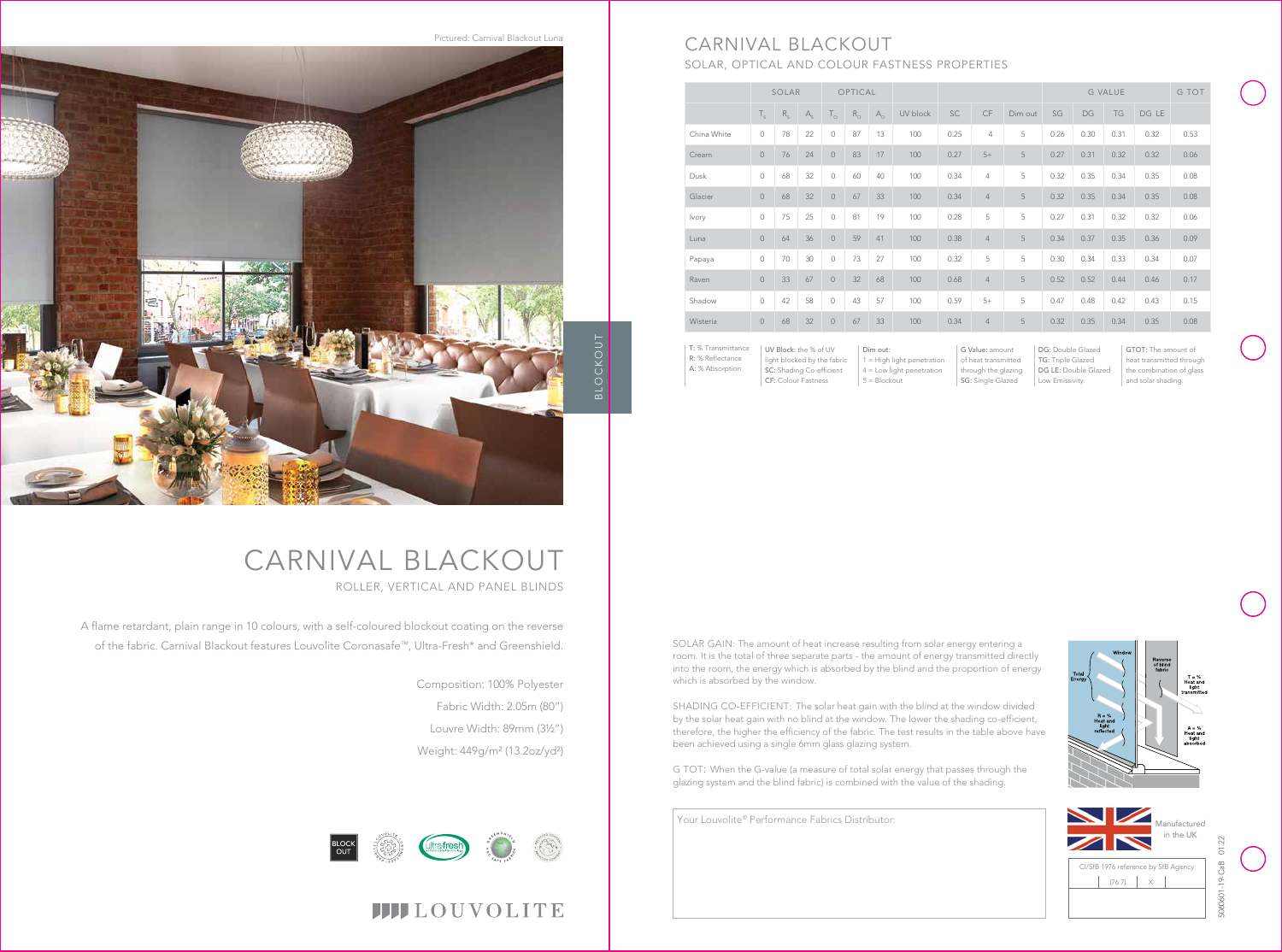# CARNIVAL BLACKOUT ROLLER, VERTICAL AND PANEL BLINDS



# **IIII**LOUVOLITE

A flame retardant, plain range in 10 colours, with a self-coloured blockout coating on the reverse of the fabric. Carnival Blackout features Louvolite Coronasafe™, Ultra-Fresh\* and Greenshield.

> Composition: 100% Polyester Fabric Width: 2.05m (80") Louvre Width: 89mm (3½") Weight: 449g/m² (13.2oz/yd²)

UV Block: the % of UV light blocked by the fabric SC: Shading Co-efficient CF: Colour Fastness Dim out: 1 = High light penetration 4 = Low light penetration  $5 = 5$ lockout

|              | SOLAR       |         |             | OPTICAL             |             |              |          |      |                |         | <b>G VALUE</b> |      |      |       | G TOT |
|--------------|-------------|---------|-------------|---------------------|-------------|--------------|----------|------|----------------|---------|----------------|------|------|-------|-------|
|              | $T_{\rm c}$ | $R_{s}$ | $A_{\rm c}$ | $T_{\circ}$         | $R_{\odot}$ | $A_{\alpha}$ | UV block | SC   | <b>CF</b>      | Dim out | SG             | DG   | TG   | DG LE |       |
| China White  | $\circ$     | 78      | 22          | $\mathsf{O}\xspace$ | 87          | 13           | 100      | 0.25 | 4              | 5       | 0.26           | 0.30 | 0.31 | 0.32  | 0.53  |
| Cream        | $\circ$     | 76      | 24          | $\mathbb O$         | 83          | 17           | 100      | 0.27 | $5+$           | 5       | 0.27           | 0.31 | 0.32 | 0.32  | 0.06  |
| Dusk         | $\circ$     | 68      | 32          | $\circ$             | 60          | 40           | 100      | 0.34 | $\overline{4}$ | 5       | 0.32           | 0.35 | 0.34 | 0.35  | 0.08  |
| Glacier      | $\circ$     | 68      | 32          | $\circ$             | 67          | 33           | 100      | 0.34 | $\overline{4}$ | 5       | 0.32           | 0.35 | 0.34 | 0.35  | 0.08  |
| <b>lvory</b> | $\circ$     | 75      | 25          | $\circ$             | 81          | 19           | 100      | 0.28 | 5              | 5       | 0.27           | 0.31 | 0.32 | 0.32  | 0.06  |
| Luna         | $\circ$     | 64      | 36          | $\circ$             | 59          | 41           | 100      | 0.38 | $\overline{4}$ | 5       | 0.34           | 0.37 | 0.35 | 0.36  | 0.09  |
| Papaya       | $\circ$     | 70      | 30          | $\circ$             | 73          | 27           | 100      | 0.32 | 5              | 5       | 0.30           | 0.34 | 0.33 | 0.34  | 0.07  |
| Raven        | $\circ$     | 33      | 67          | $\circledcirc$      | 32          | 68           | 100      | 0.68 | $\overline{4}$ | 5       | 0.52           | 0.52 | 0.44 | 0.46  | 0.17  |
| Shadow       | $\circ$     | 42      | 58          | $\mathsf{O}\xspace$ | 43          | 57           | 100      | 0.59 | $5+$           | 5       | 0.47           | 0.48 | 0.42 | 0.43  | 0.15  |
| Wisteria     | $\circ$     | 68      | 32          | $\circledcirc$      | 67          | 33           | 100      | 0.34 | $\overline{4}$ | 5       | 0.32           | 0.35 | 0.34 | 0.35  | 0.08  |
|              |             |         |             |                     |             |              |          |      |                |         |                |      |      |       |       |

G Value: amount of heat transmitted through the glazing SG: Single Glazed

DG: Double Glazed TG: Triple Glazed DG LE: Double Glazed Low Emissivity.

# CARNIVAL BLACKOUT

SOLAR, OPTICAL AND COLOUR FASTNESS PROPERTIES

Pictured: Carnival Blackout Luna





T: % Transmittance R: % Reflectance A: % Absorption

GTOT: The amount of heat transmitted through the combination of glass and solar shading.





SOLAR GAIN: The amount of heat increase resulting from solar energy entering a room. It is the total of three separate parts - the amount of energy transmitted directly into the room, the energy which is absorbed by the blind and the proportion of energy which is absorbed by the window.

SHADING CO-EFFICIENT: The solar heat gain with the blind at the window divided by the solar heat gain with no blind at the window. The lower the shading co-efficient, therefore, the higher the efficiency of the fabric. The test results in the table above have been achieved using a single 6mm glass glazing system.

G TOT: When the G-value (a measure of total solar energy that passes through the glazing system and the blind fabric) is combined with the value of the shading.